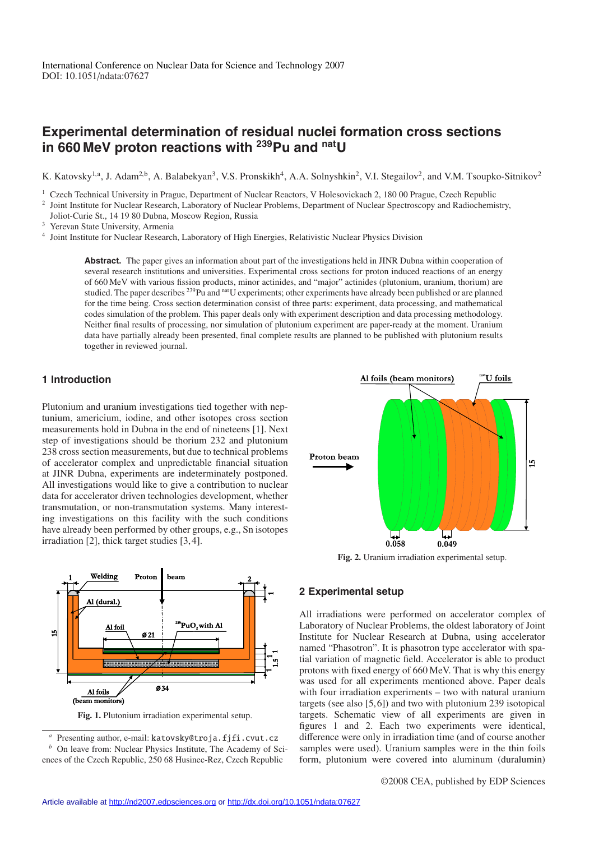# **Experimental determination of residual nuclei formation cross sections in 660 MeV proton reactions with 239Pu and natU**

K. Katovsky<sup>1,a</sup>, J. Adam<sup>2,b</sup>, A. Balabekyan<sup>3</sup>, V.S. Pronskikh<sup>4</sup>, A.A. Solnyshkin<sup>2</sup>, V.I. Stegailov<sup>2</sup>, and V.M. Tsoupko-Sitnikov<sup>2</sup>

<sup>1</sup> Czech Technical University in Prague, Department of Nuclear Reactors, V Holesovickach 2, 180 00 Prague, Czech Republic

<sup>2</sup> Joint Institute for Nuclear Research, Laboratory of Nuclear Problems, Department of Nuclear Spectroscopy and Radiochemistry,

Joliot-Curie St., 14 19 80 Dubna, Moscow Region, Russia

<sup>3</sup> Yerevan State University, Armenia

<sup>4</sup> Joint Institute for Nuclear Research, Laboratory of High Energies, Relativistic Nuclear Physics Division

**Abstract.** The paper gives an information about part of the investigations held in JINR Dubna within cooperation of several research institutions and universities. Experimental cross sections for proton induced reactions of an energy of 660 MeV with various fission products, minor actinides, and "major" actinides (plutonium, uranium, thorium) are studied. The paper describes <sup>239</sup>Pu and <sup>nat</sup>U experiments; other experiments have already been published or are planned for the time being. Cross section determination consist of three parts: experiment, data processing, and mathematical codes simulation of the problem. This paper deals only with experiment description and data processing methodology. Neither final results of processing, nor simulation of plutonium experiment are paper-ready at the moment. Uranium data have partially already been presented, final complete results are planned to be published with plutonium results together in reviewed journal.

## **1 Introduction**

Plutonium and uranium investigations tied together with neptunium, americium, iodine, and other isotopes cross section measurements hold in Dubna in the end of nineteens [1]. Next step of investigations should be thorium 232 and plutonium 238 cross section measurements, but due to technical problems of accelerator complex and unpredictable financial situation at JINR Dubna, experiments are indeterminately postponed. All investigations would like to give a contribution to nuclear data for accelerator driven technologies development, whether transmutation, or non-transmutation systems. Many interesting investigations on this facility with the such conditions have already been performed by other groups, e.g., Sn isotopes irradiation [2], thick target studies [3, 4].



**Fig. 1.** Plutonium irradiation experimental setup.

Presenting author, e-mail: katovsky@troja.fjfi.cvut.cz *b* On leave from: Nuclear Physics Institute, The Academy of Sciences of the Czech Republic, 250 68 Husinec-Rez, Czech Republic



**Fig. 2.** Uranium irradiation experimental setup.

### **2 Experimental setup**

All irradiations were performed on accelerator complex of Laboratory of Nuclear Problems, the oldest laboratory of Joint Institute for Nuclear Research at Dubna, using accelerator named "Phasotron". It is phasotron type accelerator with spatial variation of magnetic field. Accelerator is able to product protons with fixed energy of 660 MeV. That is why this energy was used for all experiments mentioned above. Paper deals with four irradiation experiments – two with natural uranium targets (see also [5, 6]) and two with plutonium 239 isotopical targets. Schematic view of all experiments are given in figures 1 and 2. Each two experiments were identical, difference were only in irradiation time (and of course another samples were used). Uranium samples were in the thin foils form, plutonium were covered into aluminum (duralumin)